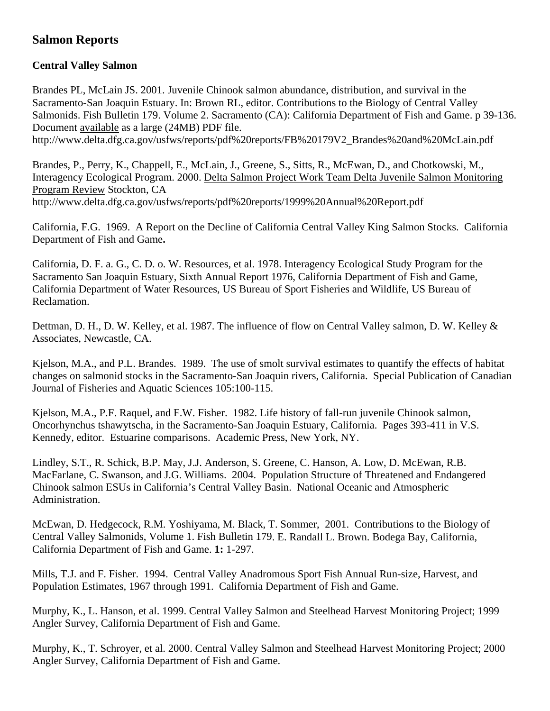# **Salmon Reports**

## **Central Valley Salmon**

Brandes PL, McLain JS. 2001. Juvenile Chinook salmon abundance, distribution, and survival in the Sacramento-San Joaquin Estuary. In: Brown RL, editor. Contributions to the Biology of Central Valley Salmonids. Fish Bulletin 179. Volume 2. Sacramento (CA): California Department of Fish and Game. p 39-136. Document [available](http://www.delta.dfg.ca.gov/usfws/reports/pdf reports/FB 179V2_Brandes and McLain.pdf) as a large (24MB) PDF file. http://www.delta.dfg.ca.gov/usfws/reports/pdf%20reports/FB%20179V2\_Brandes%20and%20McLain.pdf

Brandes, P., Perry, K., Chappell, E., McLain, J., Greene, S., Sitts, R., McEwan, D., and Chotkowski, M., Interagency Ecological Program. 2000. [Delta Salmon Project Work Team Delta Juvenile Salmon Monitoring](http://www.delta.dfg.ca.gov/usfws/reports/pdf reports/Delta Juvenile Salmon Monitoring Program Review.pdf)  [Program Review](http://www.delta.dfg.ca.gov/usfws/reports/pdf reports/Delta Juvenile Salmon Monitoring Program Review.pdf) Stockton, CA http://www.delta.dfg.ca.gov/usfws/reports/pdf%20reports/1999%20Annual%20Report.pdf

California, F.G. 1969. A Report on the Decline of California Central Valley King Salmon Stocks. California Department of Fish and Game**.** 

California, D. F. a. G., C. D. o. W. Resources, et al. 1978. Interagency Ecological Study Program for the Sacramento San Joaquin Estuary, Sixth Annual Report 1976, California Department of Fish and Game, California Department of Water Resources, US Bureau of Sport Fisheries and Wildlife, US Bureau of Reclamation.

Dettman, D. H., D. W. Kelley, et al. 1987. The influence of flow on Central Valley salmon, D. W. Kelley & Associates, Newcastle, CA.

Kjelson, M.A., and P.L. Brandes. 1989. The use of smolt survival estimates to quantify the effects of habitat changes on salmonid stocks in the Sacramento-San Joaquin rivers, California. Special Publication of Canadian Journal of Fisheries and Aquatic Sciences 105:100-115.

Kjelson, M.A., P.F. Raquel, and F.W. Fisher. 1982. Life history of fall-run juvenile Chinook salmon, Oncorhynchus tshawytscha, in the Sacramento-San Joaquin Estuary, California. Pages 393-411 in V.S. Kennedy, editor. Estuarine comparisons. Academic Press, New York, NY.

Lindley, S.T., R. Schick, B.P. May, J.J. Anderson, S. Greene, C. Hanson, A. Low, D. McEwan, R.B. MacFarlane, C. Swanson, and J.G. Williams. 2004. Population Structure of Threatened and Endangered Chinook salmon ESUs in California's Central Valley Basin. National Oceanic and Atmospheric Administration.

McEwan, D. Hedgecock, R.M. Yoshiyama, M. Black, T. Sommer, 2001. Contributions to the Biology of Central Valley Salmonids, Volume 1. Fish Bulletin 179. E. Randall L. Brown. Bodega Bay, California, California Department of Fish and Game. **1:** 1-297.

Mills, T.J. and F. Fisher. 1994. Central Valley Anadromous Sport Fish Annual Run-size, Harvest, and Population Estimates, 1967 through 1991. California Department of Fish and Game.

Murphy, K., L. Hanson, et al. 1999. Central Valley Salmon and Steelhead Harvest Monitoring Project; 1999 Angler Survey, California Department of Fish and Game.

Murphy, K., T. Schroyer, et al. 2000. Central Valley Salmon and Steelhead Harvest Monitoring Project; 2000 Angler Survey, California Department of Fish and Game.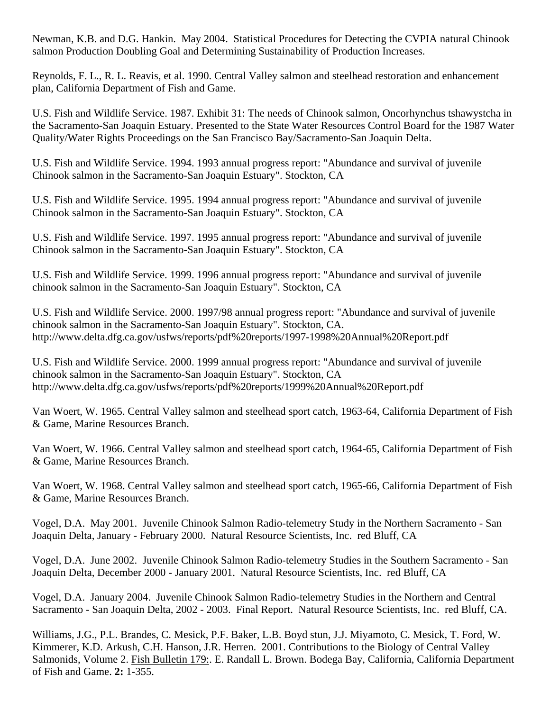Newman, K.B. and D.G. Hankin. May 2004. Statistical Procedures for Detecting the CVPIA natural Chinook salmon Production Doubling Goal and Determining Sustainability of Production Increases.

Reynolds, F. L., R. L. Reavis, et al. 1990. Central Valley salmon and steelhead restoration and enhancement plan, California Department of Fish and Game.

U.S. Fish and Wildlife Service. 1987. Exhibit 31: The needs of Chinook salmon, Oncorhynchus tshawystcha in the Sacramento-San Joaquin Estuary. Presented to the State Water Resources Control Board for the 1987 Water Quality/Water Rights Proceedings on the San Francisco Bay/Sacramento-San Joaquin Delta.

U.S. Fish and Wildlife Service. 1994. 1993 annual progress report: "Abundance and survival of juvenile Chinook salmon in the Sacramento-San Joaquin Estuary". Stockton, CA

U.S. Fish and Wildlife Service. 1995. 1994 annual progress report: "Abundance and survival of juvenile Chinook salmon in the Sacramento-San Joaquin Estuary". Stockton, CA

U.S. Fish and Wildlife Service. 1997. 1995 annual progress report: "Abundance and survival of juvenile Chinook salmon in the Sacramento-San Joaquin Estuary". Stockton, CA

U.S. Fish and Wildlife Service. 1999. 1996 annual progress report: "Abundance and survival of juvenile chinook salmon in the Sacramento-San Joaquin Estuary". Stockton, CA

U.S. Fish and Wildlife Service. 2000. [1997/98 annual progress report: "Abundance and survival of juvenile](http://www.delta.dfg.ca.gov/usfws/reports/pdf reports/1997-1998 Annual Report.pdf)  [chinook salmon in the Sacramento-San Joaquin Estuary".](http://www.delta.dfg.ca.gov/usfws/reports/pdf reports/1997-1998 Annual Report.pdf) Stockton, CA. http://www.delta.dfg.ca.gov/usfws/reports/pdf%20reports/1997-1998%20Annual%20Report.pdf

U.S. Fish and Wildlife Service. 2000. [1999 annual progress report: "Abundance and survival of juvenile](http://www.delta.dfg.ca.gov/usfws/reports/pdf reports/1999 Annual Report.pdf)  [chinook salmon in the Sacramento-San Joaquin Estuary".](http://www.delta.dfg.ca.gov/usfws/reports/pdf reports/1999 Annual Report.pdf) Stockton, CA http://www.delta.dfg.ca.gov/usfws/reports/pdf%20reports/1999%20Annual%20Report.pdf

Van Woert, W. 1965. Central Valley salmon and steelhead sport catch, 1963-64, California Department of Fish & Game, Marine Resources Branch.

Van Woert, W. 1966. Central Valley salmon and steelhead sport catch, 1964-65, California Department of Fish & Game, Marine Resources Branch.

Van Woert, W. 1968. Central Valley salmon and steelhead sport catch, 1965-66, California Department of Fish & Game, Marine Resources Branch.

Vogel, D.A. May 2001. Juvenile Chinook Salmon Radio-telemetry Study in the Northern Sacramento - San Joaquin Delta, January - February 2000. Natural Resource Scientists, Inc. red Bluff, CA

Vogel, D.A. June 2002. Juvenile Chinook Salmon Radio-telemetry Studies in the Southern Sacramento - San Joaquin Delta, December 2000 - January 2001. Natural Resource Scientists, Inc. red Bluff, CA

Vogel, D.A. January 2004. Juvenile Chinook Salmon Radio-telemetry Studies in the Northern and Central Sacramento - San Joaquin Delta, 2002 - 2003. Final Report. Natural Resource Scientists, Inc. red Bluff, CA.

Williams, J.G., P.L. Brandes, C. Mesick, P.F. Baker, L.B. Boyd stun, J.J. Miyamoto, C. Mesick, T. Ford, W. Kimmerer, K.D. Arkush, C.H. Hanson, J.R. Herren. 2001. Contributions to the Biology of Central Valley Salmonids, Volume 2. Fish Bulletin 179:. E. Randall L. Brown. Bodega Bay, California, California Department of Fish and Game. **2:** 1-355.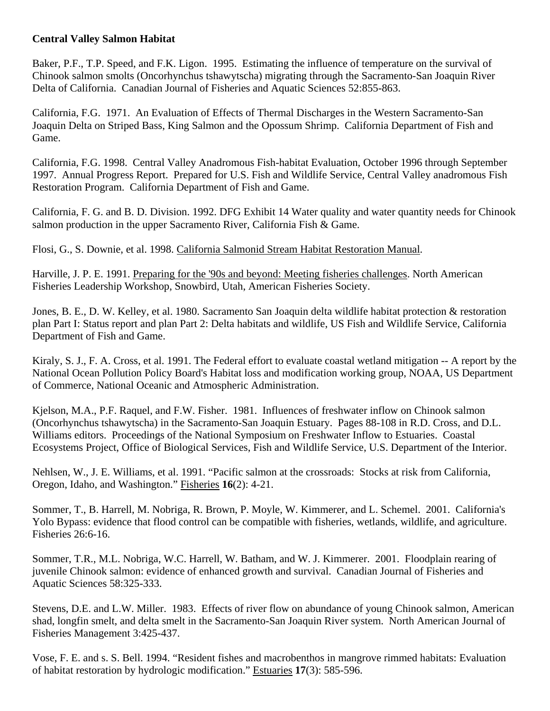### **Central Valley Salmon Habitat**

Baker, P.F., T.P. Speed, and F.K. Ligon. 1995. Estimating the influence of temperature on the survival of Chinook salmon smolts (Oncorhynchus tshawytscha) migrating through the Sacramento-San Joaquin River Delta of California. Canadian Journal of Fisheries and Aquatic Sciences 52:855-863.

California, F.G. 1971. An Evaluation of Effects of Thermal Discharges in the Western Sacramento-San Joaquin Delta on Striped Bass, King Salmon and the Opossum Shrimp. California Department of Fish and Game.

California, F.G. 1998. Central Valley Anadromous Fish-habitat Evaluation, October 1996 through September 1997. Annual Progress Report. Prepared for U.S. Fish and Wildlife Service, Central Valley anadromous Fish Restoration Program. California Department of Fish and Game.

California, F. G. and B. D. Division. 1992. DFG Exhibit 14 Water quality and water quantity needs for Chinook salmon production in the upper Sacramento River, California Fish & Game.

Flosi, G., S. Downie, et al. 1998. California Salmonid Stream Habitat Restoration Manual.

Harville, J. P. E. 1991. Preparing for the '90s and beyond: Meeting fisheries challenges. North American Fisheries Leadership Workshop, Snowbird, Utah, American Fisheries Society.

Jones, B. E., D. W. Kelley, et al. 1980. Sacramento San Joaquin delta wildlife habitat protection & restoration plan Part I: Status report and plan Part 2: Delta habitats and wildlife, US Fish and Wildlife Service, California Department of Fish and Game.

Kiraly, S. J., F. A. Cross, et al. 1991. The Federal effort to evaluate coastal wetland mitigation -- A report by the National Ocean Pollution Policy Board's Habitat loss and modification working group, NOAA, US Department of Commerce, National Oceanic and Atmospheric Administration.

Kjelson, M.A., P.F. Raquel, and F.W. Fisher. 1981. Influences of freshwater inflow on Chinook salmon (Oncorhynchus tshawytscha) in the Sacramento-San Joaquin Estuary. Pages 88-108 in R.D. Cross, and D.L. Williams editors. Proceedings of the National Symposium on Freshwater Inflow to Estuaries. Coastal Ecosystems Project, Office of Biological Services, Fish and Wildlife Service, U.S. Department of the Interior.

Nehlsen, W., J. E. Williams, et al. 1991. "Pacific salmon at the crossroads: Stocks at risk from California, Oregon, Idaho, and Washington." Fisheries **16**(2): 4-21.

Sommer, T., B. Harrell, M. Nobriga, R. Brown, P. Moyle, W. Kimmerer, and L. Schemel. 2001. California's Yolo Bypass: evidence that flood control can be compatible with fisheries, wetlands, wildlife, and agriculture. Fisheries 26:6-16.

Sommer, T.R., M.L. Nobriga, W.C. Harrell, W. Batham, and W. J. Kimmerer. 2001. Floodplain rearing of juvenile Chinook salmon: evidence of enhanced growth and survival. Canadian Journal of Fisheries and Aquatic Sciences 58:325-333.

Stevens, D.E. and L.W. Miller. 1983. Effects of river flow on abundance of young Chinook salmon, American shad, longfin smelt, and delta smelt in the Sacramento-San Joaquin River system. North American Journal of Fisheries Management 3:425-437.

Vose, F. E. and s. S. Bell. 1994. "Resident fishes and macrobenthos in mangrove rimmed habitats: Evaluation of habitat restoration by hydrologic modification." Estuaries **17**(3): 585-596.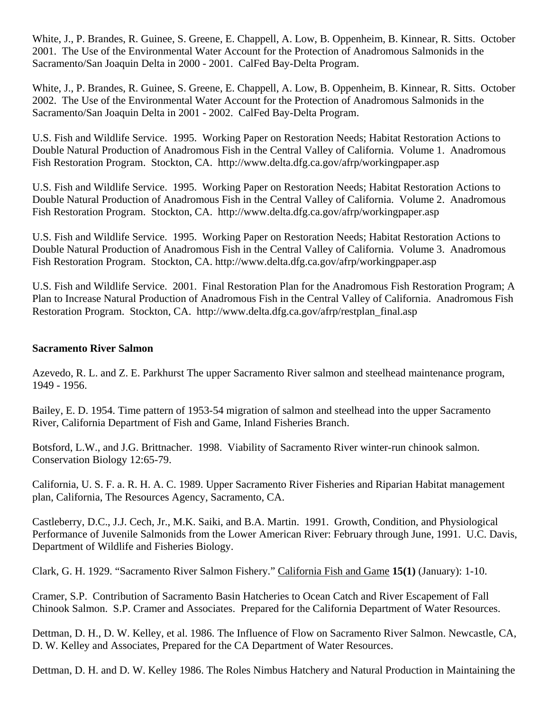White, J., P. Brandes, R. Guinee, S. Greene, E. Chappell, A. Low, B. Oppenheim, B. Kinnear, R. Sitts. October 2001. The Use of the Environmental Water Account for the Protection of Anadromous Salmonids in the Sacramento/San Joaquin Delta in 2000 - 2001. CalFed Bay-Delta Program.

White, J., P. Brandes, R. Guinee, S. Greene, E. Chappell, A. Low, B. Oppenheim, B. Kinnear, R. Sitts. October 2002. The Use of the Environmental Water Account for the Protection of Anadromous Salmonids in the Sacramento/San Joaquin Delta in 2001 - 2002. CalFed Bay-Delta Program.

U.S. Fish and Wildlife Service. 1995. Working Paper on Restoration Needs; Habitat Restoration Actions to Double Natural Production of Anadromous Fish in the Central Valley of California. Volume 1. Anadromous Fish Restoration Program. Stockton, CA. http://www.delta.dfg.ca.gov/afrp/workingpaper.asp

U.S. Fish and Wildlife Service. 1995. Working Paper on Restoration Needs; Habitat Restoration Actions to Double Natural Production of Anadromous Fish in the Central Valley of California. Volume 2. Anadromous Fish Restoration Program. Stockton, CA. http://www.delta.dfg.ca.gov/afrp/workingpaper.asp

U.S. Fish and Wildlife Service. 1995. Working Paper on Restoration Needs; Habitat Restoration Actions to Double Natural Production of Anadromous Fish in the Central Valley of California. Volume 3. Anadromous Fish Restoration Program. Stockton, CA. http://www.delta.dfg.ca.gov/afrp/workingpaper.asp

U.S. Fish and Wildlife Service. 2001. Final Restoration Plan for the Anadromous Fish Restoration Program; A Plan to Increase Natural Production of Anadromous Fish in the Central Valley of California. Anadromous Fish Restoration Program. Stockton, CA. http://www.delta.dfg.ca.gov/afrp/restplan\_final.asp

#### **Sacramento River Salmon**

Azevedo, R. L. and Z. E. Parkhurst The upper Sacramento River salmon and steelhead maintenance program, 1949 - 1956.

Bailey, E. D. 1954. Time pattern of 1953-54 migration of salmon and steelhead into the upper Sacramento River, California Department of Fish and Game, Inland Fisheries Branch.

Botsford, L.W., and J.G. Brittnacher. 1998. Viability of Sacramento River winter-run chinook salmon. Conservation Biology 12:65-79.

California, U. S. F. a. R. H. A. C. 1989. Upper Sacramento River Fisheries and Riparian Habitat management plan, California, The Resources Agency, Sacramento, CA.

Castleberry, D.C., J.J. Cech, Jr., M.K. Saiki, and B.A. Martin. 1991. Growth, Condition, and Physiological Performance of Juvenile Salmonids from the Lower American River: February through June, 1991. U.C. Davis, Department of Wildlife and Fisheries Biology.

Clark, G. H. 1929. "Sacramento River Salmon Fishery." California Fish and Game **15(1)** (January): 1-10.

Cramer, S.P. Contribution of Sacramento Basin Hatcheries to Ocean Catch and River Escapement of Fall Chinook Salmon. S.P. Cramer and Associates. Prepared for the California Department of Water Resources.

Dettman, D. H., D. W. Kelley, et al. 1986. The Influence of Flow on Sacramento River Salmon. Newcastle, CA, D. W. Kelley and Associates, Prepared for the CA Department of Water Resources.

Dettman, D. H. and D. W. Kelley 1986. The Roles Nimbus Hatchery and Natural Production in Maintaining the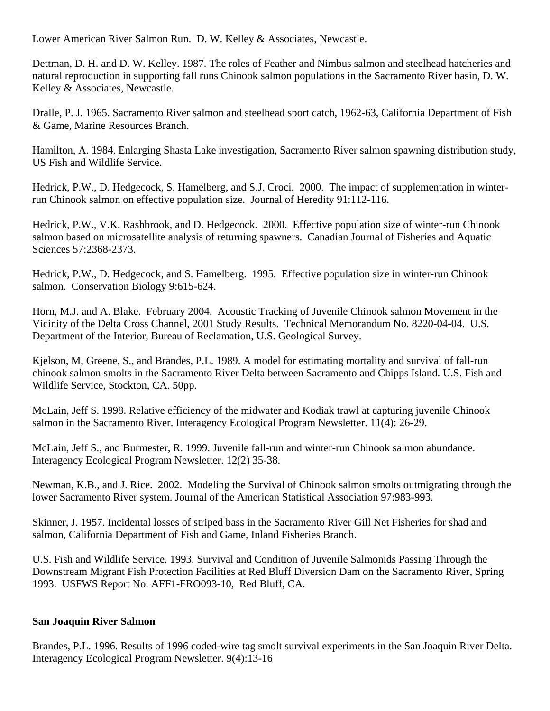Lower American River Salmon Run. D. W. Kelley & Associates, Newcastle.

Dettman, D. H. and D. W. Kelley. 1987. The roles of Feather and Nimbus salmon and steelhead hatcheries and natural reproduction in supporting fall runs Chinook salmon populations in the Sacramento River basin, D. W. Kelley & Associates, Newcastle.

Dralle, P. J. 1965. Sacramento River salmon and steelhead sport catch, 1962-63, California Department of Fish & Game, Marine Resources Branch.

Hamilton, A. 1984. Enlarging Shasta Lake investigation, Sacramento River salmon spawning distribution study, US Fish and Wildlife Service.

Hedrick, P.W., D. Hedgecock, S. Hamelberg, and S.J. Croci. 2000. The impact of supplementation in winterrun Chinook salmon on effective population size. Journal of Heredity 91:112-116.

Hedrick, P.W., V.K. Rashbrook, and D. Hedgecock. 2000. Effective population size of winter-run Chinook salmon based on microsatellite analysis of returning spawners. Canadian Journal of Fisheries and Aquatic Sciences 57:2368-2373.

Hedrick, P.W., D. Hedgecock, and S. Hamelberg. 1995. Effective population size in winter-run Chinook salmon. Conservation Biology 9:615-624.

Horn, M.J. and A. Blake. February 2004. Acoustic Tracking of Juvenile Chinook salmon Movement in the Vicinity of the Delta Cross Channel, 2001 Study Results. Technical Memorandum No. 8220-04-04. U.S. Department of the Interior, Bureau of Reclamation, U.S. Geological Survey.

Kjelson, M, Greene, S., and Brandes, P.L. 1989. A model for estimating mortality and survival of fall-run chinook salmon smolts in the Sacramento River Delta between Sacramento and Chipps Island. U.S. Fish and Wildlife Service, Stockton, CA. 50pp.

McLain, Jeff S. 1998. Relative efficiency of the midwater and Kodiak trawl at capturing juvenile Chinook salmon in the Sacramento River. Interagency Ecological Program Newsletter. 11(4): 26-29.

McLain, Jeff S., and Burmester, R. 1999. Juvenile fall-run and winter-run Chinook salmon abundance. Interagency Ecological Program Newsletter. 12(2) 35-38.

Newman, K.B., and J. Rice. 2002. Modeling the Survival of Chinook salmon smolts outmigrating through the lower Sacramento River system. Journal of the American Statistical Association 97:983-993.

Skinner, J. 1957. Incidental losses of striped bass in the Sacramento River Gill Net Fisheries for shad and salmon, California Department of Fish and Game, Inland Fisheries Branch.

U.S. Fish and Wildlife Service. 1993. Survival and Condition of Juvenile Salmonids Passing Through the Downstream Migrant Fish Protection Facilities at Red Bluff Diversion Dam on the Sacramento River, Spring 1993. USFWS Report No. AFF1-FRO093-10, Red Bluff, CA.

# **San Joaquin River Salmon**

Brandes, P.L. 1996. Results of 1996 coded-wire tag smolt survival experiments in the San Joaquin River Delta. Interagency Ecological Program Newsletter. 9(4):13-16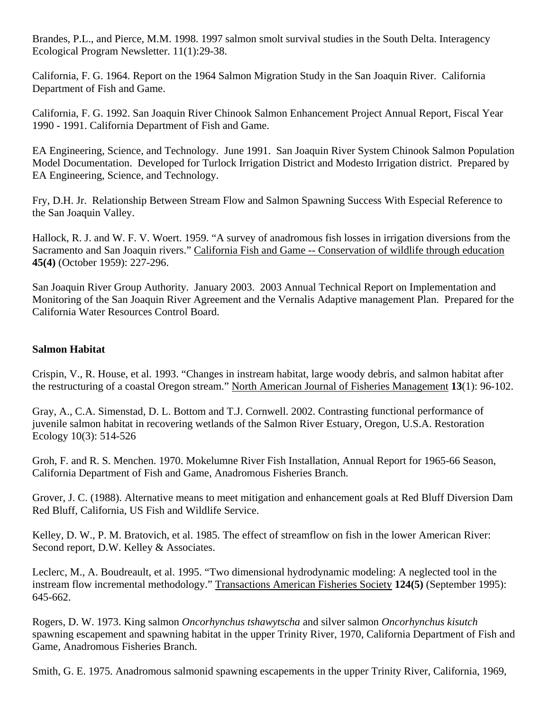Brandes, P.L., and Pierce, M.M. 1998. 1997 salmon smolt survival studies in the South Delta. Interagency Ecological Program Newsletter. 11(1):29-38.

California, F. G. 1964. Report on the 1964 Salmon Migration Study in the San Joaquin River. California Department of Fish and Game.

California, F. G. 1992. San Joaquin River Chinook Salmon Enhancement Project Annual Report, Fiscal Year 1990 - 1991. California Department of Fish and Game.

EA Engineering, Science, and Technology. June 1991. San Joaquin River System Chinook Salmon Population Model Documentation. Developed for Turlock Irrigation District and Modesto Irrigation district. Prepared by EA Engineering, Science, and Technology.

Fry, D.H. Jr. Relationship Between Stream Flow and Salmon Spawning Success With Especial Reference to the San Joaquin Valley.

Hallock, R. J. and W. F. V. Woert. 1959. "A survey of anadromous fish losses in irrigation diversions from the Sacramento and San Joaquin rivers." California Fish and Game -- Conservation of wildlife through education **45(4)** (October 1959): 227-296.

San Joaquin River Group Authority. January 2003. 2003 Annual Technical Report on Implementation and Monitoring of the San Joaquin River Agreement and the Vernalis Adaptive management Plan. Prepared for the California Water Resources Control Board.

### **Salmon Habitat**

Crispin, V., R. House, et al. 1993. "Changes in instream habitat, large woody debris, and salmon habitat after the restructuring of a coastal Oregon stream." North American Journal of Fisheries Management **13**(1): 96-102.

Gray, A., C.A. Simenstad, D. L. Bottom and T.J. Cornwell. 2002. Contrasting functional performance of juvenile salmon habitat in recovering wetlands of the Salmon River Estuary, Oregon, U.S.A. Restoration Ecology 10(3): 514-526

Groh, F. and R. S. Menchen. 1970. Mokelumne River Fish Installation, Annual Report for 1965-66 Season, California Department of Fish and Game, Anadromous Fisheries Branch.

Grover, J. C. (1988). Alternative means to meet mitigation and enhancement goals at Red Bluff Diversion Dam Red Bluff, California, US Fish and Wildlife Service.

Kelley, D. W., P. M. Bratovich, et al. 1985. The effect of streamflow on fish in the lower American River: Second report, D.W. Kelley & Associates.

Leclerc, M., A. Boudreault, et al. 1995. "Two dimensional hydrodynamic modeling: A neglected tool in the instream flow incremental methodology." Transactions American Fisheries Society **124(5)** (September 1995): 645-662.

Rogers, D. W. 1973. King salmon *Oncorhynchus tshawytscha* and silver salmon *Oncorhynchus kisutch* spawning escapement and spawning habitat in the upper Trinity River, 1970, California Department of Fish and Game, Anadromous Fisheries Branch.

Smith, G. E. 1975. Anadromous salmonid spawning escapements in the upper Trinity River, California, 1969,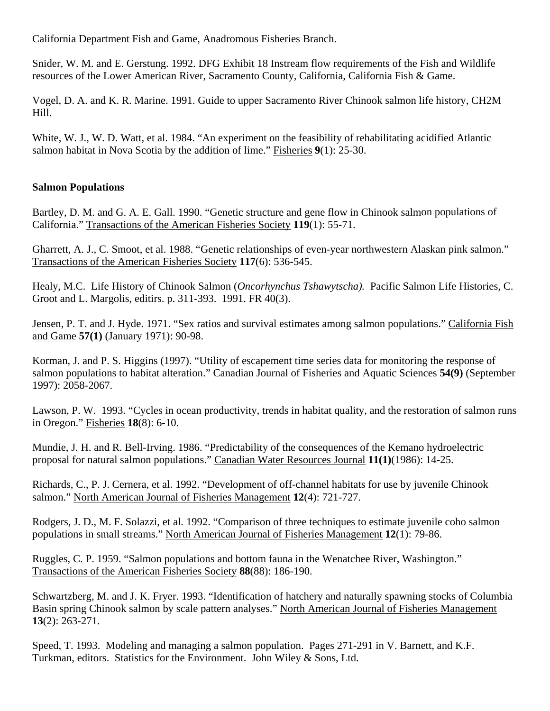California Department Fish and Game, Anadromous Fisheries Branch.

Snider, W. M. and E. Gerstung. 1992. DFG Exhibit 18 Instream flow requirements of the Fish and Wildlife resources of the Lower American River, Sacramento County, California, California Fish & Game.

Vogel, D. A. and K. R. Marine. 1991. Guide to upper Sacramento River Chinook salmon life history, CH2M Hill.

White, W. J., W. D. Watt, et al. 1984. "An experiment on the feasibility of rehabilitating acidified Atlantic salmon habitat in Nova Scotia by the addition of lime." Fisheries **9**(1): 25-30.

### **Salmon Populations**

Bartley, D. M. and G. A. E. Gall. 1990. "Genetic structure and gene flow in Chinook salmon populations of California." Transactions of the American Fisheries Society **119**(1): 55-71.

Gharrett, A. J., C. Smoot, et al. 1988. "Genetic relationships of even-year northwestern Alaskan pink salmon." Transactions of the American Fisheries Society **117**(6): 536-545.

Healy, M.C. Life History of Chinook Salmon (*Oncorhynchus Tshawytscha).* Pacific Salmon Life Histories, C. Groot and L. Margolis, editirs. p. 311-393. 1991. FR 40(3).

Jensen, P. T. and J. Hyde. 1971. "Sex ratios and survival estimates among salmon populations." California Fish and Game **57(1)** (January 1971): 90-98.

Korman, J. and P. S. Higgins (1997). "Utility of escapement time series data for monitoring the response of salmon populations to habitat alteration." Canadian Journal of Fisheries and Aquatic Sciences **54(9)** (September 1997): 2058-2067.

Lawson, P. W. 1993. "Cycles in ocean productivity, trends in habitat quality, and the restoration of salmon runs in Oregon." Fisheries **18**(8): 6-10.

Mundie, J. H. and R. Bell-Irving. 1986. "Predictability of the consequences of the Kemano hydroelectric proposal for natural salmon populations." Canadian Water Resources Journal **11(1)**(1986): 14-25.

Richards, C., P. J. Cernera, et al. 1992. "Development of off-channel habitats for use by juvenile Chinook salmon." North American Journal of Fisheries Management **12**(4): 721-727.

Rodgers, J. D., M. F. Solazzi, et al. 1992. "Comparison of three techniques to estimate juvenile coho salmon populations in small streams." North American Journal of Fisheries Management **12**(1): 79-86.

Ruggles, C. P. 1959. "Salmon populations and bottom fauna in the Wenatchee River, Washington." Transactions of the American Fisheries Society **88**(88): 186-190.

Schwartzberg, M. and J. K. Fryer. 1993. "Identification of hatchery and naturally spawning stocks of Columbia Basin spring Chinook salmon by scale pattern analyses." North American Journal of Fisheries Management **13**(2): 263-271.

Speed, T. 1993. Modeling and managing a salmon population. Pages 271-291 in V. Barnett, and K.F. Turkman, editors. Statistics for the Environment. John Wiley & Sons, Ltd.